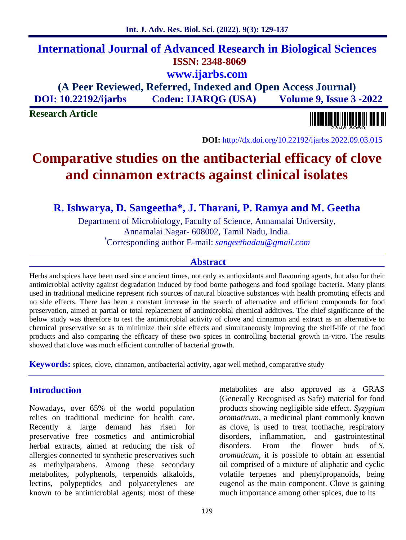## **International Journal of Advanced Research in Biological Sciences ISSN: 2348-8069 www.ijarbs.com**

**(A Peer Reviewed, Referred, Indexed and Open Access Journal) DOI: 10.22192/ijarbs Coden: IJARQG (USA) Volume 9, Issue 3 -2022**

**Research Article**

**DOI:** http://dx.doi.org/10.22192/ijarbs.2022.09.03.015

# **Comparative studies on the antibacterial efficacy of clove and cinnamon extracts against clinical isolates**

**R. Ishwarya, D. Sangeetha\*, J. Tharani, P. Ramya and M. Geetha**

Department of Microbiology, Faculty of Science, Annamalai University, Annamalai Nagar- 608002, Tamil Nadu, India. \*Corresponding author E-mail: *sangeethadau@gmail.com*

## **Abstract**

Herbs and spices have been used since ancient times, not only as antioxidants and flavouring agents, but also for their antimicrobial activity against degradation induced by food borne pathogens and food spoilage bacteria. Many plants used in traditional medicine represent rich sources of natural bioactive substances with health promoting effects and no side effects. There has been a constant increase in the search of alternative and efficient compounds for food preservation, aimed at partial or total replacement of antimicrobial chemical additives. The chief significance of the below study was therefore to test the antimicrobial activity of clove and cinnamon and extract as an alternative to chemical preservative so as to minimize their side effects and simultaneously improving the shelf-life of the food products and also comparing the efficacy of these two spices in controlling bacterial growth in-vitro. The results showed that clove was much efficient controller of bacterial growth.

**Keywords:** spices, clove, cinnamon, antibacterial activity, agar well method, comparative study

## **Introduction**

Nowadays, over 65% of the world population relies on traditional medicine for health care. Recently a large demand has risen for preservative free cosmetics and antimicrobial herbal extracts, aimed at reducing the risk of allergies connected to synthetic preservatives such as methylparabens. Among these secondary metabolites, polyphenols, terpenoids alkaloids, lectins, polypeptides and polyacetylenes are known to be antimicrobial agents; most of these

metabolites are also approved as a GRAS (Generally Recognised as Safe) material for food products showing negligible side effect. *Syzygium aromaticum*, a medicinal plant commonly known as clove, is used to treat toothache, respiratory disorders, inflammation, and gastrointestinal disorders. From the flower buds of *S. aromaticum*, it is possible to obtain an essential oil comprised of a mixture of aliphatic and cyclic volatile terpenes and phenylpropanoids, being eugenol as the main component. Clove is gaining much importance among other spices, due to its

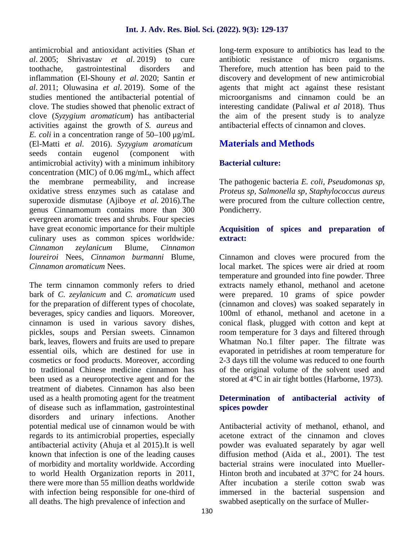antimicrobial and antioxidant activities (Shan *et al*. 2005; Shrivastav *et al*. 2019) to cure toothache, gastrointestinal disorders and inflammation (El-Shouny *et al*. 2020; Santin *et al*. 2011; Oluwasina *et al*. 2019). Some of the studies mentioned the antibacterial potential of clove. The studies showed that phenolic extract of clove (*Syzygium aromaticum*) has antibacterial activities against the growth of *S. aureus* and *E. coli* in a concentration range of 50–100 μg/mL (El-Matti *et al*. 2016). *Syzygium aromaticum* seeds contain eugenol (component with antimicrobial activity) with a minimum inhibitory concentration (MIC) of 0.06 mg/mL, which affect the membrane permeability, and increase oxidative stress enzymes such as catalase and superoxide dismutase (Ajiboye *et al.* 2016).The genus Cinnamomum contains more than 300 evergreen aromatic trees and shrubs. Four species have great economic importance for their multiple culinary uses as common spices worldwide*: Cinnamon zeylanicum* Blume, *Cinnamon loureiroi* Nees, *Cinnamon burmanni* Blume*, Cinnamon aromaticum* Nees.

The term cinnamon commonly refers to dried bark of *C. zeylanicum* and *C. aromaticum* used for the preparation of different types of chocolate, beverages, spicy candies and liquors. Moreover, cinnamon is used in various savory dishes, pickles, soups and Persian sweets. Cinnamon bark, leaves, flowers and fruits are used to prepare essential oils, which are destined for use in cosmetics or food products. Moreover, according to traditional Chinese medicine cinnamon has been used as a neuroprotective agent and for the treatment of diabetes. Cinnamon has also been used as a health promoting agent for the treatment of disease such as inflammation, gastrointestinal disorders and urinary infections. Another potential medical use of cinnamon would be with regards to its antimicrobial properties, especially antibacterial activity (Ahuja et al 2015).It is well known that infection is one of the leading causes of morbidity and mortality worldwide. According to world Health Organization reports in 2011, there were more than 55 million deaths worldwide with infection being responsible for one-third of all deaths. The high prevalence of infection and

long-term exposure to antibiotics has lead to the antibiotic resistance of micro organisms. Therefore, much attention has been paid to the discovery and development of new antimicrobial agents that might act against these resistant microorganisms and cinnamon could be an interesting candidate (Paliwal *et al* 2018). Thus the aim of the present study is to analyze antibacterial effects of cinnamon and cloves.

## **Materials and Methods**

## **Bacterial culture:**

The pathogenic bacteria *E. coli, Pseudomonas sp, Proteus sp, Salmonella sp*, *Staphylococcus aureus* were procured from the culture collection centre, Pondicherry.

### **Acquisition of spices and preparation of extract:**

Cinnamon and cloves were procured from the local market. The spices were air dried at room temperature and grounded into fine powder. Three extracts namely ethanol, methanol and acetone were prepared. 10 grams of spice powder (cinnamon and cloves) was soaked separately in 100ml of ethanol, methanol and acetone in a conical flask, plugged with cotton and kept at room temperature for 3 days and filtered through Whatman No.1 filter paper. The filtrate was evaporated in petridishes at room temperature for 2-3 days till the volume was reduced to one fourth of the original volume of the solvent used and stored at 4°C in air tight bottles (Harborne, 1973).

### **Determination of antibacterial activity of spices powder**

Antibacterial activity of methanol, ethanol, and acetone extract of the cinnamon and cloves powder was evaluated separately by agar well diffusion method (Aida et al., 2001). The test bacterial strains were inoculated into Mueller- Hinton broth and incubated at 37<sup>o</sup>C for 24 hours. After incubation a sterile cotton swab was immersed in the bacterial suspension and swabbed aseptically on the surface of Muller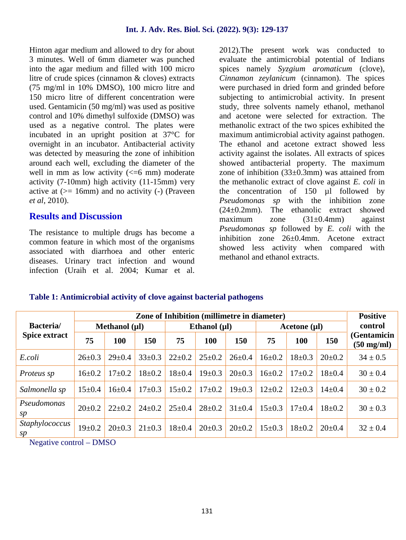Hinton agar medium and allowed to dry for about 3 minutes. Well of 6mm diameter was punched into the agar medium and filled with 100 micro litre of crude spices (cinnamon & cloves) extracts (75 mg/ml in 10% DMSO), 100 micro litre and 150 micro litre of different concentration were used. Gentamicin (50 mg/ml) was used as positive control and 10% dimethyl sulfoxide (DMSO) was used as a negative control. The plates were incubated in an upright position at 37°C for overnight in an incubator. Antibacterial activity was detected by measuring the zone of inhibition around each well, excluding the diameter of the well in mm as low activity  $\left(\leq 6$  mm) moderate activity (7-10mm) high activity (11-15mm) very active at  $(>= 16$ mm) and no activity  $(-)$  (Praveen *et al*, 2010).

## **Results and Discussion**

The resistance to multiple drugs has become a common feature in which most of the organisms associated with diarrhoea and other enteric diseases. Urinary tract infection and wound infection (Uraih et al. 2004; Kumar et al. 2012).The present work was conducted to evaluate the antimicrobial potential of Indians spices namely *Syzgium aromaticum* (clove), *Cinnamon zeylanicum* (cinnamon). The spices were purchased in dried form and grinded before subjecting to antimicrobial activity. In present study, three solvents namely ethanol, methanol and acetone were selected for extraction. The methanolic extract of the two spices exhibited the maximum antimicrobial activity against pathogen. The ethanol and acetone extract showed less activity against the isolates. All extracts of spices showed antibacterial property. The maximum zone of inhibition  $(33\pm0.3$ mm) was attained from the methanolic extract of clove against *E. coli* in the concentration of 150 µl followed by *Pseudomonas sp* with the inhibition zone (24±0.2mm). The ethanolic extract showed maximum zone (31±0.4mm) against *Pseudomonas sp* followed by *E. coli* with the inhibition zone 26±0.4mm. Acetone extract showed less activity when compared with methanol and ethanol extracts.

#### **Table 1: Antimicrobial activity of clove against bacterial pathogens**

| Bacteria/<br><b>Spice extract</b> |                    | <b>Positive</b> |              |                   |              |              |                   |              |              |                                     |
|-----------------------------------|--------------------|-----------------|--------------|-------------------|--------------|--------------|-------------------|--------------|--------------|-------------------------------------|
|                                   | Methanol $(\mu I)$ |                 |              | Ethanol $(\mu I)$ |              |              | Acetone $(\mu I)$ |              |              | control                             |
|                                   | 75                 | <b>100</b>      | 150          | 75                | 100          | <b>150</b>   | 75                | 100          | 150          | (Gentamicin<br>$(50 \text{ mg/ml})$ |
| E.coli                            | $26 \pm 0.3$       | $29 \pm 0.4$    | $33 \pm 0.3$ | $22 \pm 0.2$      | $25 \pm 0.2$ | $26 \pm 0.4$ | $16 \pm 0.2$      | $18 \pm 0.3$ | $20 \pm 0.2$ | $34 \pm 0.5$                        |
| Proteus sp                        | $16 \pm 0.2$       | $17+0.2$        | $18 \pm 0.2$ | $18 \pm 0.4$      | $19 \pm 0.3$ | $20 \pm 0.3$ | $16 \pm 0.2$      | $17+0.2$     | $18 + 0.4$   | $30 \pm 0.4$                        |
| Salmonella sp                     | $15 \pm 0.4$       | $16 \pm 0.4$    | $17 \pm 0.3$ | $15 \pm 0.2$      | $17 \pm 0.2$ | $19 \pm 0.3$ | $12 \pm 0.2$      | $12\pm0.3$   | $14\pm0.4$   | $30 \pm 0.2$                        |
| Pseudomonas<br>sp                 | $20 \pm 0.2$       | $22 \pm 0.2$    | $24 \pm 0.2$ | $25 \pm 0.4$      | $28 \pm 0.2$ | $31 \pm 0.4$ | $15 \pm 0.3$      | $17+0.4$     | $18+0.2$     | $30 \pm 0.3$                        |
| <i>Staphylococcus</i><br>sp       | $19 \pm 0.2$       | $20 \pm 0.3$    | $21 \pm 0.3$ | $18 \pm 0.4$      | $20 \pm 0.3$ | $20 \pm 0.2$ | $15 \pm 0.3$      | $18 + 0.2$   | $20 \pm 0.4$ | $32 \pm 0.4$                        |

Negative control – DMSO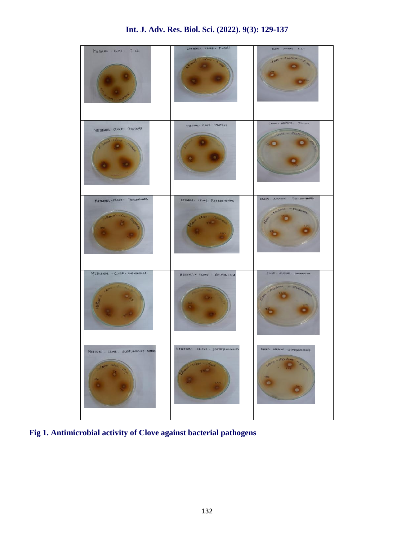

**Fig 1. Antimicrobial activity of Clove against bacterial pathogens**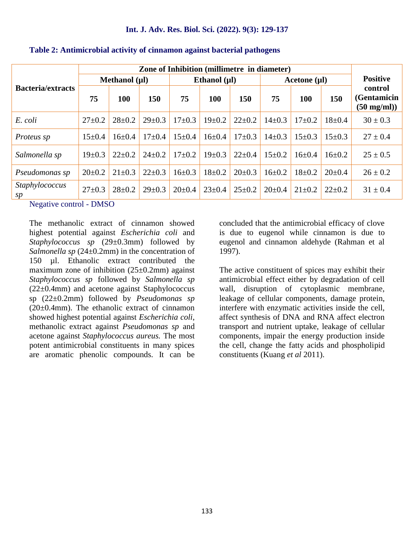| <b>Bacteria/extracts</b> |                    |              |              |                   |              |              |                   |              |              |                                                 |
|--------------------------|--------------------|--------------|--------------|-------------------|--------------|--------------|-------------------|--------------|--------------|-------------------------------------------------|
|                          | Methanol $(\mu I)$ |              |              | Ethanol $(\mu I)$ |              |              | Acetone $(\mu I)$ |              |              | <b>Positive</b>                                 |
|                          | 75                 | 100          | 150          | 75                | <b>100</b>   | 150          | 75                | 100          | 150          | control<br>(Gentamicin<br>$(50 \text{ mg/ml}))$ |
| E. coli                  | $27 \pm 0.2$       | $28 \pm 0.2$ | $29 \pm 0.3$ | $17 \pm 0.3$      | $19 \pm 0.2$ | $22 \pm 0.2$ | $14\pm0.3$        | $17\pm0.2$   | $18 \pm 0.4$ | $30 \pm 0.3$                                    |
| Proteus sp               | $15 \pm 0.4$       | $16 \pm 0.4$ | $17+0.4$     | $15 \pm 0.4$      | $16 \pm 0.4$ | $17 \pm 0.3$ | $14\pm0.3$        | $15 \pm 0.3$ | $15 \pm 0.3$ | $27 \pm 0.4$                                    |
| Salmonella sp            | $19 \pm 0.3$       | $22 \pm 0.2$ | $24 \pm 0.2$ | $17+0.2$          | $19 \pm 0.3$ | $22 \pm 0.4$ | $15 \pm 0.2$      | $16 \pm 0.4$ | $16 \pm 0.2$ | $25 \pm 0.5$                                    |
| Pseudomonas sp           | $20 \pm 0.2$       | $21 \pm 0.3$ | $22 \pm 0.3$ | $16 \pm 0.3$      | $18 + 0.2$   | $20 \pm 0.3$ | $16 \pm 0.2$      | $18 \pm 0.2$ | $20 \pm 0.4$ | $26 \pm 0.2$                                    |
| Staphylococcus<br>sp     | $27 \pm 0.3$       | $28 \pm 0.2$ | $29 \pm 0.3$ | $20 \pm 0.4$      | $23 \pm 0.4$ | $25 \pm 0.2$ | $20 \pm 0.4$      | $21 \pm 0.2$ | $22 \pm 0.2$ | $31 \pm 0.4$                                    |

#### **Table 2: Antimicrobial activity of cinnamon against bacterial pathogens**

Negative control - DMSO

The methanolic extract of cinnamon showed highest potential against *Escherichia coli* and *Staphylococcus sp* (29±0.3mm) followed by *Salmonella sp* (24±0.2mm) in the concentration of 150 µl. Ethanolic extract contributed the maximum zone of inhibition  $(25\pm0.2$ mm) against *Staphylococcus sp* followed by *Salmonella sp* (22±0.4mm) and acetone against Staphylococcus sp (22±0.2mm) followed by *Pseudomonas sp*  $(20\pm0.4$ mm). The ethanolic extract of cinnamon showed highest potential against *Escherichia coli*, methanolic extract against *Pseudomonas sp* and acetone against *Staphylococcus aureus.* The most potent antimicrobial constituents in many spices are aromatic phenolic compounds. It can be concluded that the antimicrobial efficacy of clove is due to eugenol while cinnamon is due to eugenol and cinnamon aldehyde (Rahman et al 1997).

The active constituent of spices may exhibit their antimicrobial effect either by degradation of cell wall, disruption of cytoplasmic membrane, leakage of cellular components, damage protein, interfere with enzymatic activities inside the cell, affect synthesis of DNA and RNA affect electron transport and nutrient uptake, leakage of cellular components, impair the energy production inside the cell, change the fatty acids and phospholipid constituents (Kuang *et al* 2011).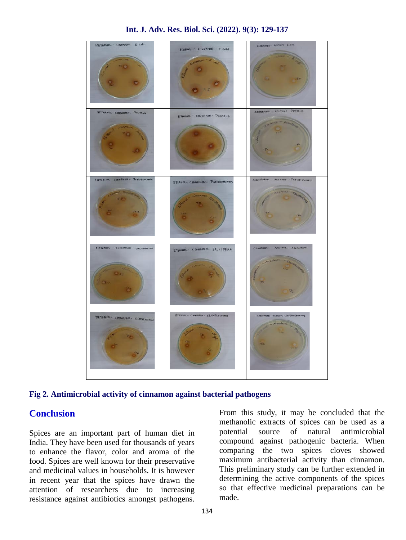



## **Conclusion**

Spices are an important part of human diet in India. They have been used for thousands of years to enhance the flavor, color and aroma of the food. Spices are well known for their preservative and medicinal values in households. It is however in recent year that the spices have drawn the attention of researchers due to increasing resistance against antibiotics amongst pathogens.

From this study, it may be concluded that the methanolic extracts of spices can be used as a source of natural antimicrobial compound against pathogenic bacteria. When comparing the two spices cloves showed maximum antibacterial activity than cinnamon. This preliminary study can be further extended in determining the active components of the spices so that effective medicinal preparations can be made.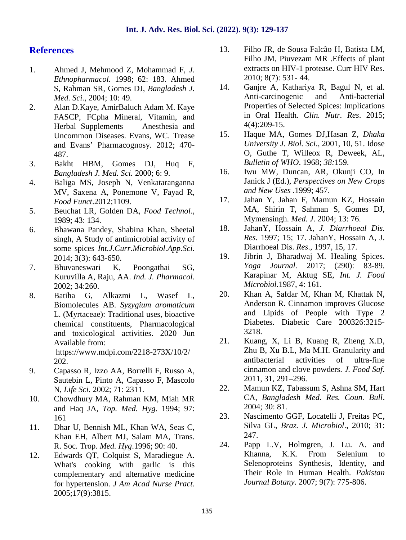## **References**

- 1. Ahmed J, Mehmood Z, Mohammad F, *J. Ethnopharmacol.* 1998; 62: 183. Ahmed S, Rahman SR, Gomes DJ, *Bangladesh J. Med. Sci.*, 2004; 10: 49.
- 2. Alan D.Kaye, AmirBaluch Adam M. Kaye FASCP, FCpha Mineral, Vitamin, and Herbal Supplements Anesthesia and<br>
Uncommon Diseases, Evans, WC, Trease 15. Uncommon Diseases. Evans, WC. Trease and Evans' Pharmacognosy. 2012; 470- 487.
- 3. Bakht HBM, Gomes DJ, Huq F, *Bangladesh J. Med. Sci.* 2000; 6: 9.
- 4. Baliga MS, Joseph N, Venkataranganna MV, Saxena A, Ponemone V, Fayad R, *Food Funct*.2012;1109.
- 5. Beuchat LR, Golden DA, *Food Technol*., 1989; 43: 134.
- 6. Bhawana Pandey, Shabina Khan, Sheetal singh, A Study of antimicrobial activity of some spices *Int.J.Curr.Microbiol.App.Sci.* 2014; 3(3): 643-650.
- 7. Bhuvaneswari K, Poongathai SG, Kuruvilla A, Raju, AA. *Ind. J. Pharmacol*. 2002; 34:260.
- 8. Batiha G, Alkazmi L, Wasef L, Biomolecules AB. *Syzygium aromaticum* L. (Myrtaceae): Traditional uses, bioactive chemical constituents, Pharmacological and toxicological activities. 2020 Jun<br>Available from: 21. Available from: https://www.mdpi.com/2218-273X/10/2/ 202.
- 9. Capasso R, Izzo AA, Borrelli F, Russo A, Sautebin L, Pinto A, Capasso F, Mascolo<br>N *Life Sci* 2002:  $71:2311$  22. N, *Life Sci.* 2002; 71: 2311.
- 10. Chowdhury MA, Rahman KM, Miah MR and Haq JA, *Top. Med. Hyg*. 1994; 97: 161
- 11. Dhar U, Bennish ML, Khan WA, Seas C, Khan EH, Albert MJ, Salam MA, Trans. R. Soc. Trop. *Med. Hyg*.1996; 90: 40.
- 12. Edwards QT, Colquist S, Maradiegue A. What's cooking with garlic is this complementary and alternative medicine for hypertension. *J Am Acad Nurse Pract*. 2005;17(9):3815.
- 13. Filho JR, de Sousa Falcão H, Batista LM, Filho JM, Piuvezam MR .Effects of plant extracts on HIV-1 protease. Curr HIV Res. 2010; 8(7): 531- 44.
- Ganjre A, Kathariya R, Bagul N, et al. Anti-carcinogenic and Anti-bacterial Properties of Selected Spices: Implications in Oral Health. *Clin. Nutr. Res*. 2015; 4(4):209-15.
- 15. Haque MA, Gomes DJ,Hasan Z, *Dhaka University J. Biol. Sci*., 2001, 10, 51. Idose O, Guthe T, Willeox R, Deweek, AL, *Bulletin of WHO*. 1968; *38:*159.
- 16. Iwu MW, Duncan, AR, Okunji CO, In Janick J (Ed.), *Perspectives on New Crops and New Uses* .1999; 457.
- 17. Jahan Y, Jahan F, Mamun KZ, Hossain MA, Shirin T, Sahman S, Gomes DJ, Mymensingh. *Med. J*. 2004; 13: 76.
- 18. JahanY, Hossain A, *J. Diarrhoeal Dis. Res.* 1997; 15; 17. JahanY, Hossain A, J. Diarrhoeal Dis. *Res*., 1997, 15, 17.
- 19. Jibrin J, Bharadwaj M. Healing Spices. *Yoga Journal.* 2017; (290): 83-89. Karapinar M, Aktug SE, *Int. J. Food Microbiol.*1987, 4: 161.
- 20. Khan A, Safdar M, Khan M, Khattak N, Anderson R. Cinnamon improves Glucose and Lipids of People with Type 2 Diabetes. Diabetic Care 200326:3215- 3218.
- 21. Kuang, X, Li B, Kuang R, Zheng X.D, Zhu B, Xu B.L, Ma M.H. Granularity and antibacterial activities of ultra-fine cinnamon and clove powders. *J. Food Saf*. 2011, 31, 291–296.
- 22. Mamun KZ, Tabassum S, Ashna SM, Hart CA, *Bangladesh Med. Res. Coun. Bull*. 2004; 30: 81.
- 23. Nascimento GGF, Locatelli J, Freitas PC, Silva GL, *Braz. J. Microbiol*., 2010; 31: 247.
- 24. Papp L.V, Holmgren, J. Lu. A. and Khanna, K.K. From Selenium to Selenoproteins Synthesis, Identity, and Their Role in Human Health. *Pakistan Journal Botany*. 2007; 9(7): 775-806.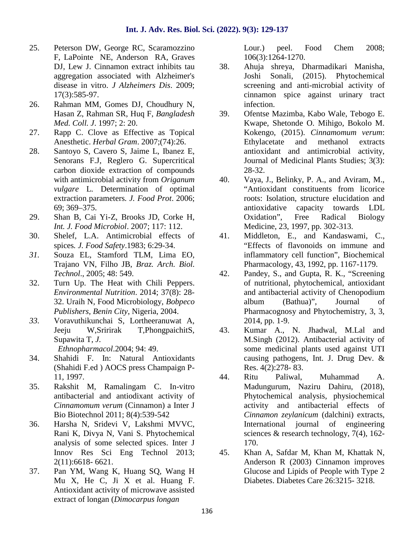- 25. Peterson DW, George RC, Scaramozzino F, LaPointe NE, Anderson RA, Graves DJ, Lew J. Cinnamon extract inhibits tau 38. aggregation associated with Alzheimer's disease in vitro. *J Alzheimers Dis*. 2009; 17(3):585-97.
- 26. Rahman MM, Gomes DJ, Choudhury N, Hasan Z, Rahman SR, Huq F, *Bangladesh Med. Coll. J*. 1997; 2: 20.
- 27. Rapp C. Clove as Effective as Topical Anesthetic. *Herbal Gram*. 2007;(74):26.
- 28. Santoyo S, Cavero S, Jaime L, Ibanez E, Senorans F.J, Reglero G. Supercritical carbon dioxide extraction of compounds with antimicrobial activity from *Origanum vulgare* L. Determination of optimal extraction parameters*. J. Food Prot*. 2006; 69; 369–375.
- 29. Shan B, Cai Yi-Z, Brooks JD, Corke H, *Int. J. Food Microbiol*. 2007; 117: 112.
- 30. Shelef, L.A. Antimicrobial effects of spices*. J. Food Safety*.1983; 6:29-34.
- *31.* Souza EL, Stamford TLM, Lima EO, Trajano VN, Filho JB, *Braz. Arch. Biol. Technol*., 2005; 48: 549.
- 32. Turn Up. The Heat with Chili Peppers. *Environmental Nutrition*. 2014; 37(8): 28- 32. Uraih N, Food Microbiology, *Bobpeco Publishers, Benin City*, Nigeria, 2004.
- *33.* Voravuthikunchai S, Lortheeranuwat A, Jeeju W,Sririrak T,PhongpaichitS, Supawita T, *J.*
	- *Ethnopharmacol*.2004; 94: 49.
- 34. Shahidi F. In: Natural Antioxidants (Shahidi F.ed ) AOCS press Champaign P- 11, 1997.
- 35. Rakshit M, Ramalingam C. In-vitro antibacterial and antiodixant activity of *Cinnamomum verum* (Cinnamon) a Inter J Bio Biotechnol 2011; 8(4):539-542
- 36. Harsha N, Sridevi V, Lakshmi MVVC, Rani K, Divya N, Vani S. Phytochemical analysis of some selected spices. Inter J Innov Res Sci Eng Technol 2013; 2(11):6618- 6621.
- 37. Pan YM, Wang K, Huang SQ, Wang H Mu X, He C, Ji X et al. Huang F. Antioxidant activity of microwave assisted extract of longan (*Dimocarpus longan*

Lour.) peel. Food Chem 2008; 106(3):1264-1270.

- 38. Ahuja shreya, Dharmadikari Manisha, Joshi Sonali, (2015). Phytochemical screening and anti-microbial activity of cinnamon spice against urinary tract infection.
- 39. Ofentse Mazimba, Kabo Wale, Tebogo E. Kwape, Shetonde O. Mihigo, Bokolo M. Kokengo, (2015). *Cinnamomum verum*: Ethylacetate and methanol extracts antioxidant and antimicrobial activity, Journal of Medicinal Plants Studies; 3(3): 28-32.
- 40. Vaya, J., Belinky, P. A., and Aviram, M., "Antioxidant constituents from licorice roots: Isolation, structure elucidation and antioxidative capacity towards LDL Oxidation", Free Radical Biology Medicine, 23, 1997, pp. 302-313.
- 41. Middleton, E., and Kandaswami, C., "Effects of flavonoids on immune and inflammatory cell function", Biochemical Pharmacology, 43, 1992, pp. 1167-1179.
- 42. Pandey, S., and Gupta, R. K., "Screening of nutritional, phytochemical, antioxidant and antibacterial activity of Chenopodium album (Bathua)", Journal of Pharmacognosy and Phytochemistry, 3, 3, 2014, pp. 1-9.
- 43. Kumar A., N. Jhadwal, M.Lal and M.Singh (2012). Antibacterial activity of some medicinal plants used against UTI causing pathogens, Int. J. Drug Dev. & Res. 4(2):278- 83.
- 44. Ritu Paliwal, Muhammad A. Madungurum, Naziru Dahiru, (2018), Phytochemical analysis, physiochemical activity and antibacterial effects of *Cinnamon zeylanicum* (dalchini) extracts, International journal of engineering sciences & research technology, 7(4), 162- 170.
- 45. Khan A, Safdar M, Khan M, Khattak N, Anderson R (2003) Cinnamon improves Glucose and Lipids of People with Type 2 Diabetes. Diabetes Care 26:3215- 3218.